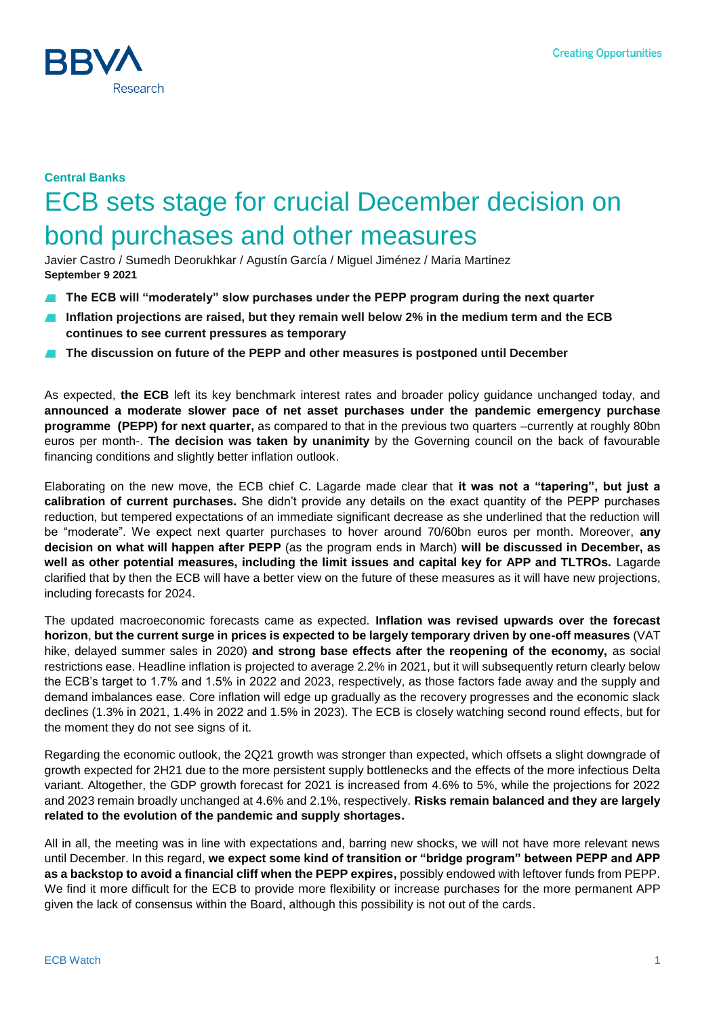

# **Central Banks** ECB sets stage for crucial December decision on bond purchases and other measures

Javier Castro / Sumedh Deorukhkar / Agustín García / Miguel Jiménez / Maria Martinez **September 9 2021**

- **The ECB will "moderately" slow purchases under the PEPP program during the next quarter**
- **Inflation projections are raised, but they remain well below 2% in the medium term and the ECB continues to see current pressures as temporary**
- **The discussion on future of the PEPP and other measures is postponed until December**

As expected, **the ECB** left its key benchmark interest rates and broader policy guidance unchanged today, and **announced a moderate slower pace of net asset purchases under the pandemic emergency purchase programme (PEPP) for next quarter,** as compared to that in the previous two quarters –currently at roughly 80bn euros per month-. **The decision was taken by unanimity** by the Governing council on the back of favourable financing conditions and slightly better inflation outlook.

Elaborating on the new move, the ECB chief C. Lagarde made clear that **it was not a "tapering", but just a calibration of current purchases.** She didn't provide any details on the exact quantity of the PEPP purchases reduction, but tempered expectations of an immediate significant decrease as she underlined that the reduction will be "moderate". We expect next quarter purchases to hover around 70/60bn euros per month. Moreover, **any decision on what will happen after PEPP** (as the program ends in March) **will be discussed in December, as well as other potential measures, including the limit issues and capital key for APP and TLTROs.** Lagarde clarified that by then the ECB will have a better view on the future of these measures as it will have new projections, including forecasts for 2024.

The updated macroeconomic forecasts came as expected. **Inflation was revised upwards over the forecast horizon**, **but the current surge in prices is expected to be largely temporary driven by one-off measures** (VAT hike, delayed summer sales in 2020) **and strong base effects after the reopening of the economy,** as social restrictions ease. Headline inflation is projected to average 2.2% in 2021, but it will subsequently return clearly below the ECB's target to 1.7% and 1.5% in 2022 and 2023, respectively, as those factors fade away and the supply and demand imbalances ease. Core inflation will edge up gradually as the recovery progresses and the economic slack declines (1.3% in 2021, 1.4% in 2022 and 1.5% in 2023). The ECB is closely watching second round effects, but for the moment they do not see signs of it.

Regarding the economic outlook, the 2Q21 growth was stronger than expected, which offsets a slight downgrade of growth expected for 2H21 due to the more persistent supply bottlenecks and the effects of the more infectious Delta variant. Altogether, the GDP growth forecast for 2021 is increased from 4.6% to 5%, while the projections for 2022 and 2023 remain broadly unchanged at 4.6% and 2.1%, respectively. **Risks remain balanced and they are largely related to the evolution of the pandemic and supply shortages.**

All in all, the meeting was in line with expectations and, barring new shocks, we will not have more relevant news until December. In this regard, **we expect some kind of transition or "bridge program" between PEPP and APP as a backstop to avoid a financial cliff when the PEPP expires,** possibly endowed with leftover funds from PEPP. We find it more difficult for the ECB to provide more flexibility or increase purchases for the more permanent APP given the lack of consensus within the Board, although this possibility is not out of the cards.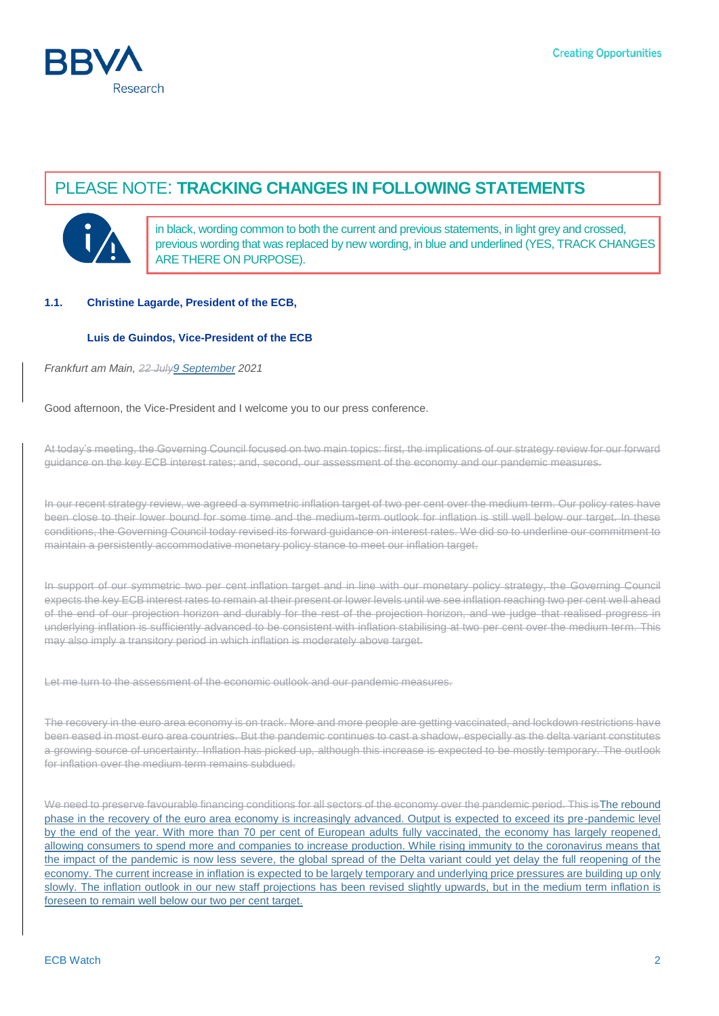

# PLEASE NOTE: **TRACKING CHANGES IN FOLLOWING STATEMENTS**



in black, wording common to both the current and previous statements, in light grey and crossed, previous wording that was replaced by new wording, in blue and underlined (YES, TRACK CHANGES ARE THERE ON PURPOSE).

### **1.1. Christine Lagarde, President of the ECB,**

### **Luis de Guindos, Vice-President of the ECB**

*Frankfurt am Main, 22 July9 September 2021*

Good afternoon, the Vice-President and I welcome you to our press conference.

At today's meeting, the Governing Council focused on two main topics: first, the implications of our strategy review for our forward guidance on the key ECB interest rates; and, second, our assessment of the economy and our pandemic measures.

In our recent strategy review, we agreed a symmetric inflation target of two per cent over the medium term. Our policy rates have been close to their lower bound for some time and the medium-term outlook for inflation is still well below our target. In these conditions, the Governing Council today revised its forward guidance on interest rates. We did so to underline our commitment to maintain a persistently accommodative monetary policy stance to meet our inflation target.

In support of our symmetric two per cent inflation target and in line with our monetary policy strategy, the Governing Council expects the key ECB interest rates to remain at their present or lower levels until we see inflation reaching two per cent well ahead of the end of our projection horizon and durably for the rest of the projection horizon, and we judge that realised progress in underlying inflation is sufficiently advanced to be consistent with inflation stabilising at two per cent over the medium term. This may also imply a transitory period in which inflation is moderately above target.

Let me turn to the assessment of the economic outlook and our pandemic measures.

The recovery in the euro area economy is on track. More and more people are getting vaccinated, and lockdown restrictions have been eased in most euro area countries. But the pandemic continues to cast a shadow, especially as the delta variant constitutes a growing source of uncertainty. Inflation has picked up, although this increase is expected to be mostly temporary. The outlook for inflation over the medium term remains subdued.

We need to preserve favourable financing conditions for all sectors of the economy over the pandemic period. This isThe rebound phase in the recovery of the euro area economy is increasingly advanced. Output is expected to exceed its pre-pandemic level by the end of the year. With more than 70 per cent of European adults fully vaccinated, the economy has largely reopened, allowing consumers to spend more and companies to increase production. While rising immunity to the coronavirus means that the impact of the pandemic is now less severe, the global spread of the Delta variant could yet delay the full reopening of the economy. The current increase in inflation is expected to be largely temporary and underlying price pressures are building up only slowly. The inflation outlook in our new staff projections has been revised slightly upwards, but in the medium term inflation is foreseen to remain well below our two per cent target.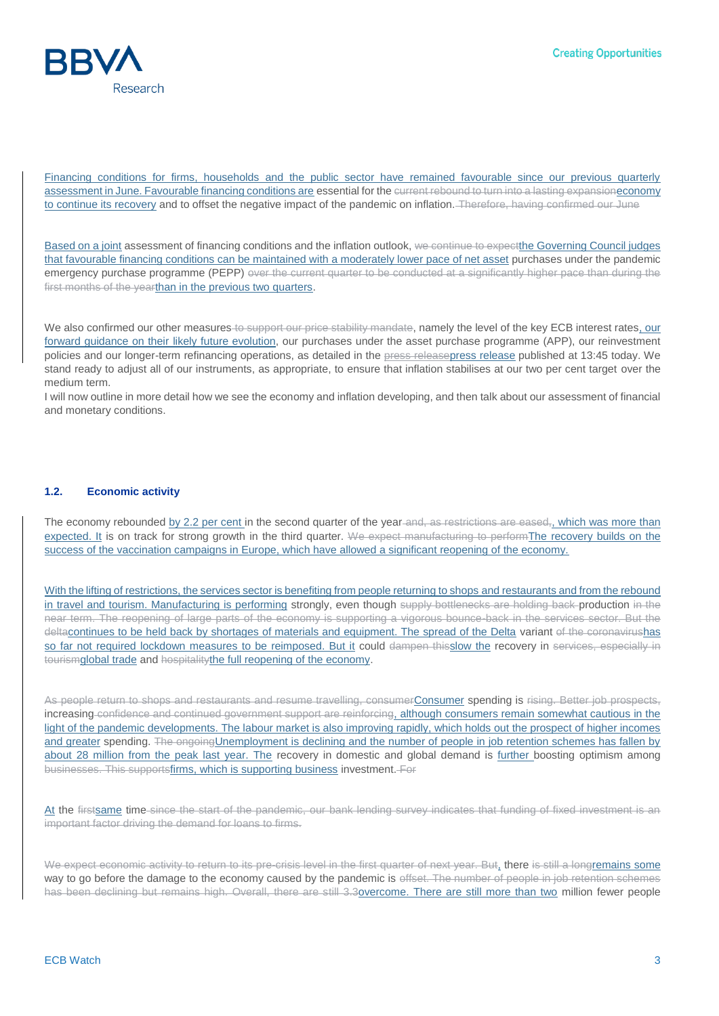

Financing conditions for firms, households and the public sector have remained favourable since our previous quarterly assessment in June. Favourable financing conditions are essential for the current rebound to turn into a lasting expansioneconomy to continue its recovery and to offset the negative impact of the pandemic on inflation. Therefore, having confirmed our June

Based on a joint assessment of financing conditions and the inflation outlook, we continue to expect the Governing Council judges that favourable financing conditions can be maintained with a moderately lower pace of net asset purchases under the pandemic emergency purchase programme (PEPP) over the current quarter to be conducted at a significantly higher pace than during the first months of the yearthan in the previous two quarters.

We also confirmed our other measures to support our price stability mandate, namely the level of the key ECB interest rates, our forward guidance on their likely future evolution, our purchases under the asset purchase programme (APP), our reinvestment policies and our longer-term refinancing operations, as detailed in the **press-[release](https://www.ecb.europa.eu/press/pr/date/2021/html/ecb.mp210909~2c94b35639.en.html)press** release published at 13:45 today. We stand ready to adjust all of our instruments, as appropriate, to ensure that inflation stabilises at our two per cent target over the medium term.

I will now outline in more detail how we see the economy and inflation developing, and then talk about our assessment of financial and monetary conditions.

#### **1.2. Economic activity**

The economy rebounded by 2.2 per cent in the second quarter of the year-and, as restrictions are eased,, which was more than expected. It is on track for strong growth in the third quarter. We expect manufacturing to performThe recovery builds on the success of the vaccination campaigns in Europe, which have allowed a significant reopening of the economy.

With the lifting of restrictions, the services sector is benefiting from people returning to shops and restaurants and from the rebound in travel and tourism. Manufacturing is performing strongly, even though supply bottlenecks are holding back production in the near term. The reopening of large parts of the economy is supporting a vigorous bounce-back in the services sector. But the deltacontinues to be held back by shortages of materials and equipment. The spread of the Delta variant of the coronavirushas so far not required lockdown measures to be reimposed. But it could dampen thisslow the recovery in services, especially in tourismglobal trade and hospitalitythe full reopening of the economy.

As people return to shops and restaurants and resume travelling, consumerConsumer spending is rising. Better job prospects, increasing confidence and continued government support are reinforcing, although consumers remain somewhat cautious in the light of the pandemic developments. The labour market is also improving rapidly, which holds out the prospect of higher incomes and greater spending. The ongoing Unemployment is declining and the number of people in job retention schemes has fallen by about 28 million from the peak last year. The recovery in domestic and global demand is further boosting optimism among businesses. This supportsfirms, which is supporting business investment. For

At the firstsame time since the start of the pandemic, our bank lending survey indicates that funding of fixed investment is an important factor driving the demand for loans to firms.

We expect economic activity to return to its pre-crisis level in the first quarter of next year. But, there is still a longremains some way to go before the damage to the economy caused by the pandemic is offset. The number of people in job retention schemes has been declining but remains high. Overall, there are still 3.3overcome. There are still more than two million fewer people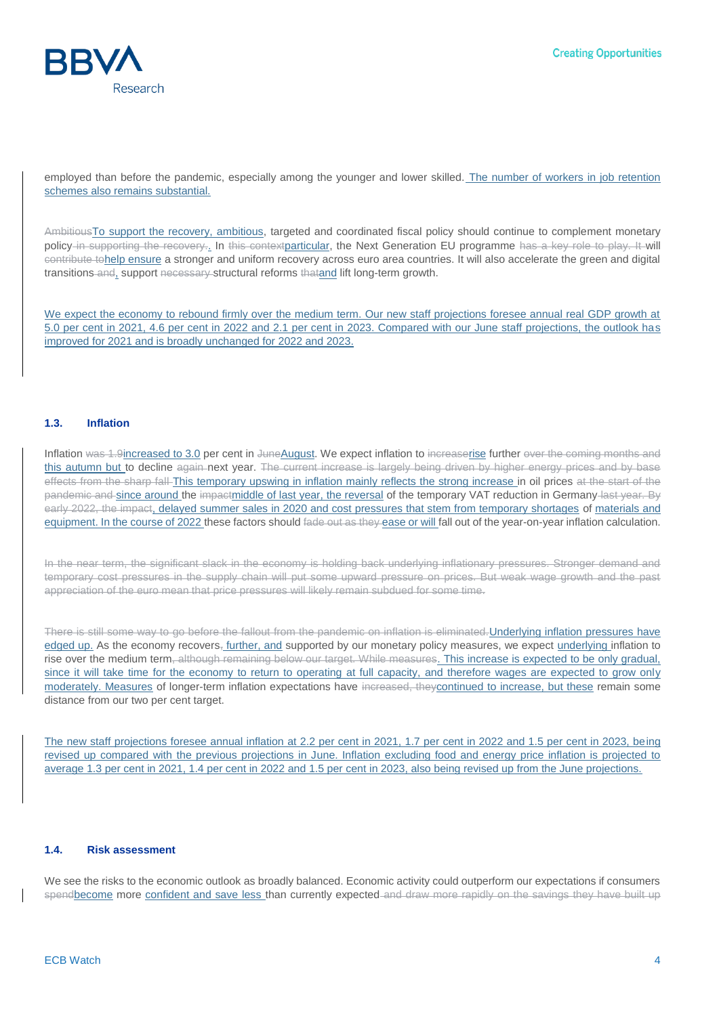

employed than before the pandemic, especially among the younger and lower skilled. The number of workers in job retention schemes also remains substantial.

AmbitiousTo support the recovery, ambitious, targeted and coordinated fiscal policy should continue to complement monetary policy in supporting the recovery. In this contextparticular, the Next Generation EU programme has a key role to play. It will contribute tohelp ensure a stronger and uniform recovery across euro area countries. It will also accelerate the green and digital transitions and, support necessary structural reforms thatand lift long-term growth.

We expect the economy to rebound firmly over the medium term. Our new staff projections foresee annual real GDP growth at 5.0 per cent in 2021, 4.6 per cent in 2022 and 2.1 per cent in 2023. Compared with our June staff projections, the outlook has improved for 2021 and is broadly unchanged for 2022 and 2023.

### **1.3. Inflation**

Inflation was 1.9increased to 3.0 per cent in JuneAugust. We expect inflation to increaserise further over the coming months and this autumn but to decline again next year. The current increase is largely being driven by higher energy prices and by base effects from the sharp fall This temporary upswing in inflation mainly reflects the strong increase in oil prices at the start of the pandemic and since around the impactmiddle of last year, the reversal of the temporary VAT reduction in Germany last year. By early 2022, the impact, delayed summer sales in 2020 and cost pressures that stem from temporary shortages of materials and equipment. In the course of 2022 these factors should fade out as they ease or will fall out of the year-on-year inflation calculation.

In the near term, the significant slack in the economy is holding back underlying inflationary pressures. Stronger demand and temporary cost pressures in the supply chain will put some upward pressure on prices. But weak wage growth and the past appreciation of the euro mean that price pressures will likely remain subdued for some time.

There is still some way to go before the fallout from the pandemic on inflation is eliminated. Underlying inflation pressures have edged up. As the economy recovers<sub>7</sub> further, and supported by our monetary policy measures, we expect underlying inflation to rise over the medium term, although remaining below our target. While measures. This increase is expected to be only gradual, since it will take time for the economy to return to operating at full capacity, and therefore wages are expected to grow only moderately. Measures of longer-term inflation expectations have increased, they continued to increase, but these remain some distance from our two per cent target.

The new staff projections foresee annual inflation at 2.2 per cent in 2021, 1.7 per cent in 2022 and 1.5 per cent in 2023, being revised up compared with the previous projections in June. Inflation excluding food and energy price inflation is projected to average 1.3 per cent in 2021, 1.4 per cent in 2022 and 1.5 per cent in 2023, also being revised up from the June projections.

#### **1.4. Risk assessment**

We see the risks to the economic outlook as broadly balanced. Economic activity could outperform our expectations if consumers spendbecome more confident and save less than currently expected and draw more rapidly on the savings they have built up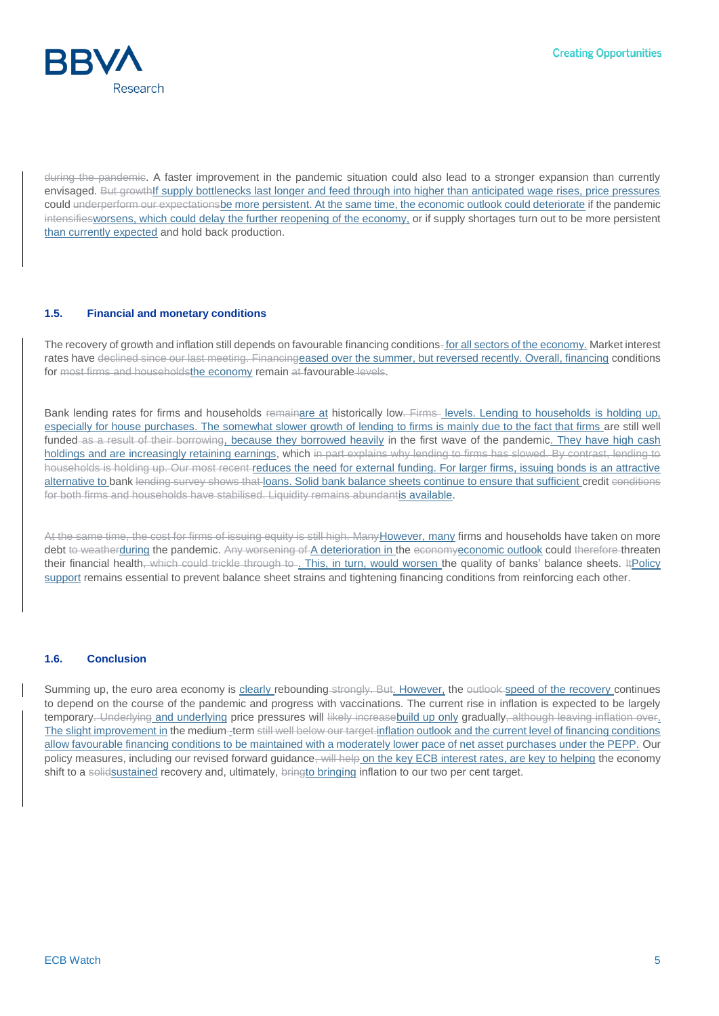

during the pandemic. A faster improvement in the pandemic situation could also lead to a stronger expansion than currently envisaged. But growthIf supply bottlenecks last longer and feed through into higher than anticipated wage rises, price pressures could underperform our expectationsbe more persistent. At the same time, the economic outlook could deteriorate if the pandemic intensifiesworsens, which could delay the further reopening of the economy, or if supply shortages turn out to be more persistent than currently expected and hold back production.

### **1.5. Financial and monetary conditions**

The recovery of growth and inflation still depends on favourable financing conditions. for all sectors of the economy. Market interest rates have declined since our last meeting. Financingeased over the summer, but reversed recently. Overall, financing conditions for most firms and householdsthe economy remain at favourable levels.

Bank lending rates for firms and households remainare at historically low. Firms levels. Lending to households is holding up, especially for house purchases. The somewhat slower growth of lending to firms is mainly due to the fact that firms are still well funded as a result of their borrowing, because they borrowed heavily in the first wave of the pandemic. They have high cash holdings and are increasingly retaining earnings, which in part explains why lending to firms has slowed. By contrast, lending to households is holding up. Our most recent reduces the need for external funding. For larger firms, issuing bonds is an attractive alternative to bank lending survey shows that loans. Solid bank balance sheets continue to ensure that sufficient credit conditions for both firms and households have stabilised. Liquidity remains abundantis available.

At the same time, the cost for firms of issuing equity is still high. Many However, many firms and households have taken on more debt to weatherduring the pandemic. Any worsening of A deterioration in the economyeconomic outlook could therefore threaten their financial health, which could trickle through to . This, in turn, would worsen the quality of banks' balance sheets. ItPolicy support remains essential to prevent balance sheet strains and tightening financing conditions from reinforcing each other.

### **1.6. Conclusion**

Summing up, the euro area economy is clearly rebounding-strongly. But. However, the outlook speed of the recovery continues to depend on the course of the pandemic and progress with vaccinations. The current rise in inflation is expected to be largely temporary. Underlying and underlying price pressures will likely increasebuild up only gradually, although leaving inflation over. The slight improvement in the medium-term still well below our target.inflation outlook and the current level of financing conditions allow favourable financing conditions to be maintained with a moderately lower pace of net asset purchases under the PEPP. Our policy measures, including our revised forward guidance, will help on the key ECB interest rates, are key to helping the economy shift to a solidsustained recovery and, ultimately, bringto bringing inflation to our two per cent target.